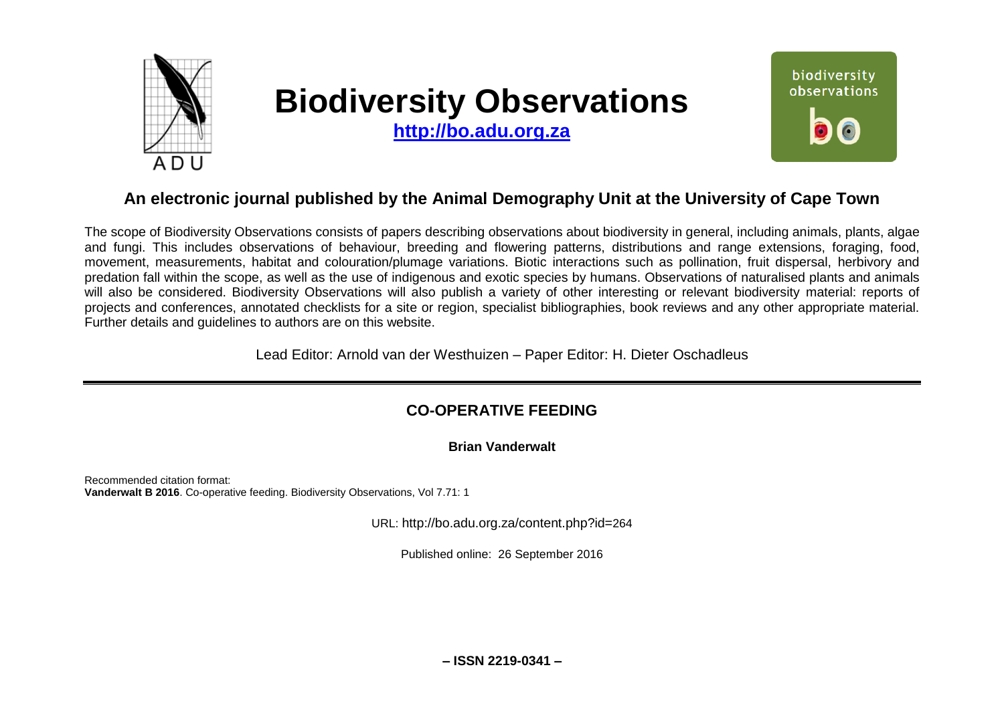

# **Biodiversity Observations**

**[http://bo.adu.org.za](http://bo.adu.org.za/)**



## **An electronic journal published by the Animal Demography Unit at the University of Cape Town**

The scope of Biodiversity Observations consists of papers describing observations about biodiversity in general, including animals, plants, algae and fungi. This includes observations of behaviour, breeding and flowering patterns, distributions and range extensions, foraging, food, movement, measurements, habitat and colouration/plumage variations. Biotic interactions such as pollination, fruit dispersal, herbivory and predation fall within the scope, as well as the use of indigenous and exotic species by humans. Observations of naturalised plants and animals will also be considered. Biodiversity Observations will also publish a variety of other interesting or relevant biodiversity material: reports of projects and conferences, annotated checklists for a site or region, specialist bibliographies, book reviews and any other appropriate material. Further details and guidelines to authors are on this website.

Lead Editor: Arnold van der Westhuizen – Paper Editor: H. Dieter Oschadleus

## **CO-OPERATIVE FEEDING**

#### **Brian Vanderwalt**

Recommended citation format: **Vanderwalt B 2016**. Co-operative feeding. Biodiversity Observations, Vol 7.71: 1

URL: http://bo.adu.org.za/content.php?id=264

Published online: 26 September 2016